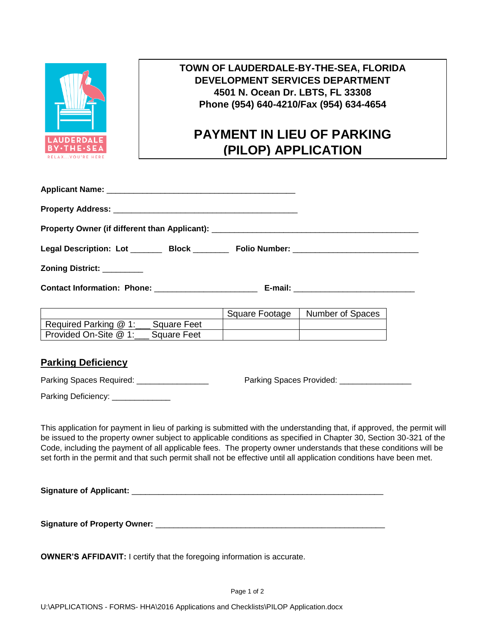

## **TOWN OF LAUDERDALE-BY-THE-SEA, FLORIDA DEVELOPMENT SERVICES DEPARTMENT 4501 N. Ocean Dr. LBTS, FL 33308 Phone (954) 640-4210/Fax (954) 634-4654**

## **PAYMENT IN LIEU OF PARKING (PILOP) APPLICATION**

| Property Owner (if different than Applicant): ___________________________________ |  |  |
|-----------------------------------------------------------------------------------|--|--|
| Legal Description: Lot _________ Block _________ Folio Number: __________________ |  |  |
| Zoning District: _________                                                        |  |  |
| Contact Information: Phone: _______________________                               |  |  |

|                                      | Square Footage | Number of Spaces |
|--------------------------------------|----------------|------------------|
| Required Parking @ 1:<br>Square Feet |                |                  |
| Provided On-Site @ 1:<br>Square Feet |                |                  |

## **Parking Deficiency**

Parking Spaces Required: \_\_\_\_\_\_\_\_\_\_\_\_\_\_\_\_ Parking Spaces Provided: \_\_\_\_\_\_\_\_\_\_\_\_\_\_\_\_

Parking Deficiency: \_\_\_\_\_\_\_\_\_\_\_\_\_

This application for payment in lieu of parking is submitted with the understanding that, if approved, the permit will be issued to the property owner subject to applicable conditions as specified in Chapter 30, Section 30-321 of the Code, including the payment of all applicable fees. The property owner understands that these conditions will be set forth in the permit and that such permit shall not be effective until all application conditions have been met.

**Signature of Applicant:**  $\blacksquare$ 

**Signature of Property Owner:** \_\_\_\_\_\_\_\_\_\_\_\_\_\_\_\_\_\_\_\_\_\_\_\_\_\_\_\_\_\_\_\_\_\_\_\_\_\_\_\_\_\_\_\_\_\_\_\_\_\_\_

**OWNER'S AFFIDAVIT:** I certify that the foregoing information is accurate.